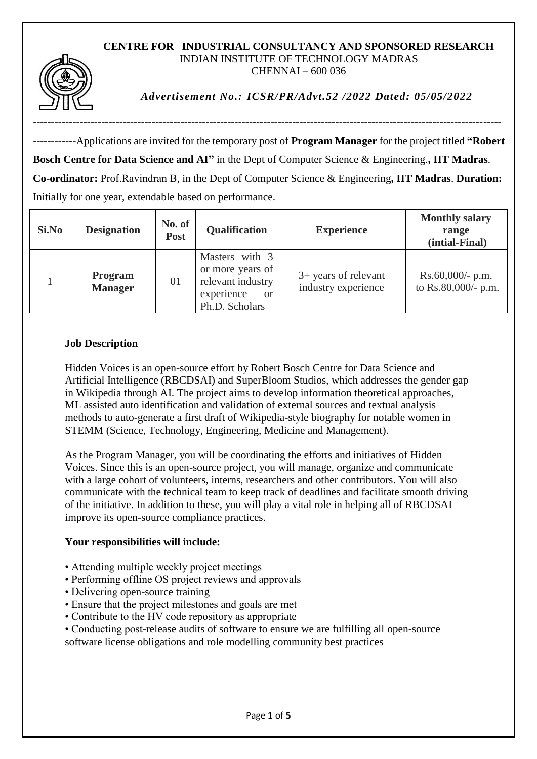#### **CENTRE FOR INDUSTRIAL CONSULTANCY AND SPONSORED RESEARCH** INDIAN INSTITUTE OF TECHNOLOGY MADRAS CHENNAI – 600 036



*Advertisement No.: ICSR/PR/Advt.52 /2022 Dated: 05/05/2022*

------------Applications are invited for the temporary post of **Program Manager** for the project titled **"Robert Bosch Centre for Data Science and AI"** in the Dept of Computer Science & Engineering.**, IIT Madras**. **Co-ordinator:** Prof.Ravindran B, in the Dept of Computer Science & Engineering**, IIT Madras**. **Duration:** Initially for one year, extendable based on performance.

----------------------------------------------------------------------------------------------------------------------------------

| Si.No | <b>Designation</b>               | No. of<br><b>Post</b> | Qualification                                                                                            | <b>Experience</b>                             | <b>Monthly salary</b><br>range<br>(intial-Final) |
|-------|----------------------------------|-----------------------|----------------------------------------------------------------------------------------------------------|-----------------------------------------------|--------------------------------------------------|
|       | <b>Program</b><br><b>Manager</b> | 01                    | Masters with 3<br>or more years of<br>relevant industry<br>experience<br><sub>or</sub><br>Ph.D. Scholars | $3+$ years of relevant<br>industry experience | $Rs.60,000/- p.m.$<br>to Rs.80,000/- p.m.        |

#### **Job Description**

Hidden Voices is an open-source effort by Robert Bosch Centre for Data Science and Artificial Intelligence (RBCDSAI) and SuperBloom Studios, which addresses the gender gap in Wikipedia through AI. The project aims to develop information theoretical approaches, ML assisted auto identification and validation of external sources and textual analysis methods to auto-generate a first draft of Wikipedia-style biography for notable women in STEMM (Science, Technology, Engineering, Medicine and Management).

As the Program Manager, you will be coordinating the efforts and initiatives of Hidden Voices. Since this is an open-source project, you will manage, organize and communicate with a large cohort of volunteers, interns, researchers and other contributors. You will also communicate with the technical team to keep track of deadlines and facilitate smooth driving of the initiative. In addition to these, you will play a vital role in helping all of RBCDSAI improve its open-source compliance practices.

# **Your responsibilities will include:**

- Attending multiple weekly project meetings
- Performing offline OS project reviews and approvals
- Delivering open-source training
- Ensure that the project milestones and goals are met
- Contribute to the HV code repository as appropriate
- Conducting post-release audits of software to ensure we are fulfilling all open-source software license obligations and role modelling community best practices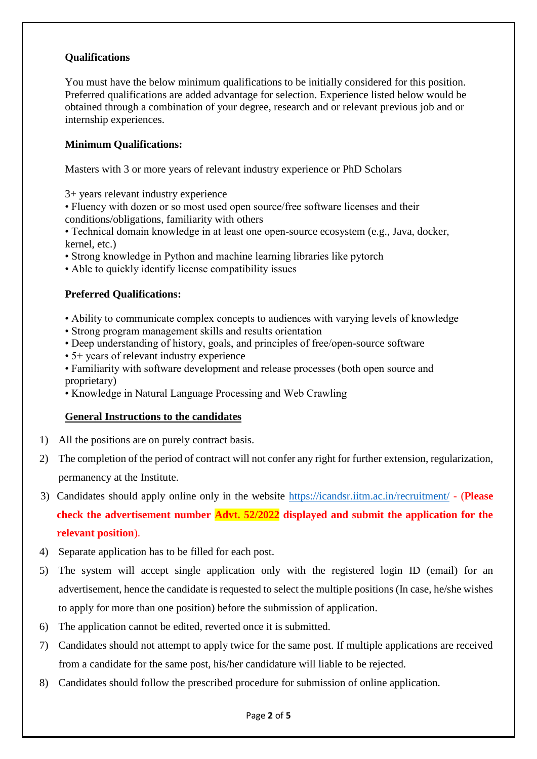# **Qualifications**

You must have the below minimum qualifications to be initially considered for this position. Preferred qualifications are added advantage for selection. Experience listed below would be obtained through a combination of your degree, research and or relevant previous job and or internship experiences.

## **Minimum Qualifications:**

Masters with 3 or more years of relevant industry experience or PhD Scholars

3+ years relevant industry experience

• Fluency with dozen or so most used open source/free software licenses and their conditions/obligations, familiarity with others

• Technical domain knowledge in at least one open-source ecosystem (e.g., Java, docker, kernel, etc.)

• Strong knowledge in Python and machine learning libraries like pytorch

• Able to quickly identify license compatibility issues

# **Preferred Qualifications:**

- Ability to communicate complex concepts to audiences with varying levels of knowledge
- Strong program management skills and results orientation
- Deep understanding of history, goals, and principles of free/open-source software
- 5+ years of relevant industry experience
- Familiarity with software development and release processes (both open source and proprietary)
- Knowledge in Natural Language Processing and Web Crawling

#### **General Instructions to the candidates**

- 1) All the positions are on purely contract basis.
- 2) The completion of the period of contract will not confer any right for further extension, regularization, permanency at the Institute.
- 3) Candidates should apply online only in the website<https://icandsr.iitm.ac.in/recruitment/> (**Please check the advertisement number Advt. 52/2022 displayed and submit the application for the relevant position**).
- 4) Separate application has to be filled for each post.
- 5) The system will accept single application only with the registered login ID (email) for an advertisement, hence the candidate is requested to select the multiple positions (In case, he/she wishes to apply for more than one position) before the submission of application.
- 6) The application cannot be edited, reverted once it is submitted.
- 7) Candidates should not attempt to apply twice for the same post. If multiple applications are received from a candidate for the same post, his/her candidature will liable to be rejected.
- 8) Candidates should follow the prescribed procedure for submission of online application.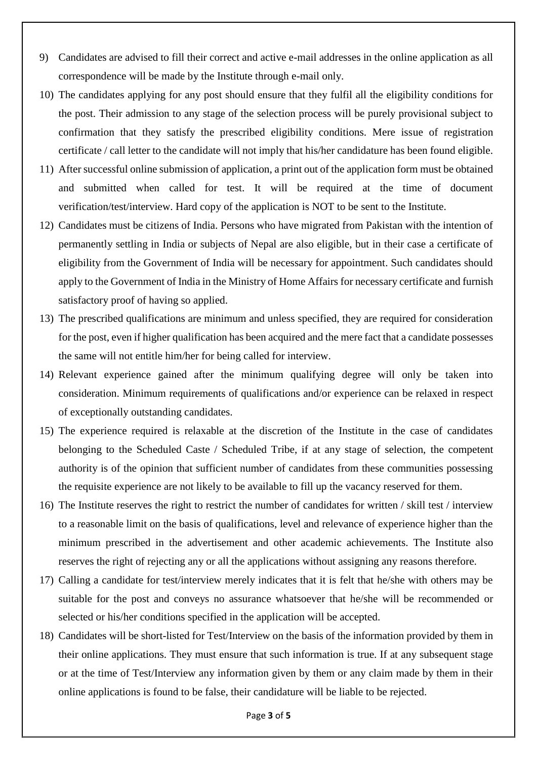- 9) Candidates are advised to fill their correct and active e-mail addresses in the online application as all correspondence will be made by the Institute through e-mail only.
- 10) The candidates applying for any post should ensure that they fulfil all the eligibility conditions for the post. Their admission to any stage of the selection process will be purely provisional subject to confirmation that they satisfy the prescribed eligibility conditions. Mere issue of registration certificate / call letter to the candidate will not imply that his/her candidature has been found eligible.
- 11) After successful online submission of application, a print out of the application form must be obtained and submitted when called for test. It will be required at the time of document verification/test/interview. Hard copy of the application is NOT to be sent to the Institute.
- 12) Candidates must be citizens of India. Persons who have migrated from Pakistan with the intention of permanently settling in India or subjects of Nepal are also eligible, but in their case a certificate of eligibility from the Government of India will be necessary for appointment. Such candidates should apply to the Government of India in the Ministry of Home Affairs for necessary certificate and furnish satisfactory proof of having so applied.
- 13) The prescribed qualifications are minimum and unless specified, they are required for consideration for the post, even if higher qualification has been acquired and the mere fact that a candidate possesses the same will not entitle him/her for being called for interview.
- 14) Relevant experience gained after the minimum qualifying degree will only be taken into consideration. Minimum requirements of qualifications and/or experience can be relaxed in respect of exceptionally outstanding candidates.
- 15) The experience required is relaxable at the discretion of the Institute in the case of candidates belonging to the Scheduled Caste / Scheduled Tribe, if at any stage of selection, the competent authority is of the opinion that sufficient number of candidates from these communities possessing the requisite experience are not likely to be available to fill up the vacancy reserved for them.
- 16) The Institute reserves the right to restrict the number of candidates for written / skill test / interview to a reasonable limit on the basis of qualifications, level and relevance of experience higher than the minimum prescribed in the advertisement and other academic achievements. The Institute also reserves the right of rejecting any or all the applications without assigning any reasons therefore.
- 17) Calling a candidate for test/interview merely indicates that it is felt that he/she with others may be suitable for the post and conveys no assurance whatsoever that he/she will be recommended or selected or his/her conditions specified in the application will be accepted.
- 18) Candidates will be short-listed for Test/Interview on the basis of the information provided by them in their online applications. They must ensure that such information is true. If at any subsequent stage or at the time of Test/Interview any information given by them or any claim made by them in their online applications is found to be false, their candidature will be liable to be rejected.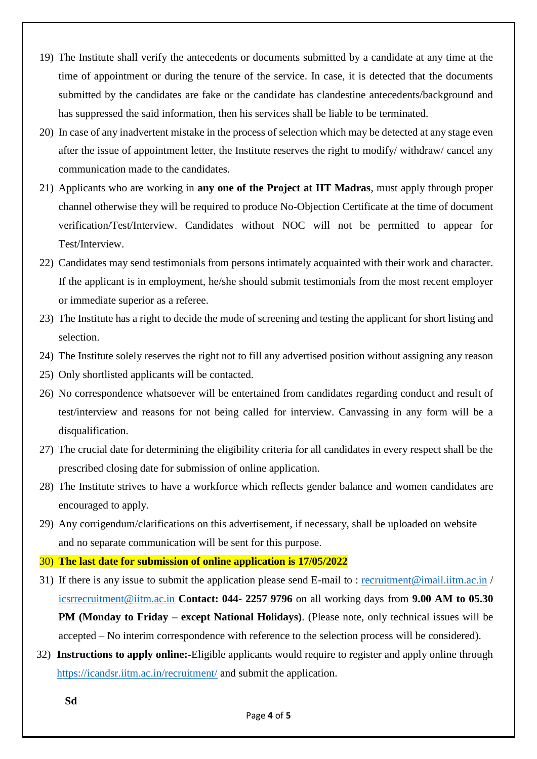- 19) The Institute shall verify the antecedents or documents submitted by a candidate at any time at the time of appointment or during the tenure of the service. In case, it is detected that the documents submitted by the candidates are fake or the candidate has clandestine antecedents/background and has suppressed the said information, then his services shall be liable to be terminated.
- 20) In case of any inadvertent mistake in the process of selection which may be detected at any stage even after the issue of appointment letter, the Institute reserves the right to modify/ withdraw/ cancel any communication made to the candidates.
- 21) Applicants who are working in **any one of the Project at IIT Madras**, must apply through proper channel otherwise they will be required to produce No-Objection Certificate at the time of document verification/Test/Interview. Candidates without NOC will not be permitted to appear for Test/Interview.
- 22) Candidates may send testimonials from persons intimately acquainted with their work and character. If the applicant is in employment, he/she should submit testimonials from the most recent employer or immediate superior as a referee.
- 23) The Institute has a right to decide the mode of screening and testing the applicant for short listing and selection.
- 24) The Institute solely reserves the right not to fill any advertised position without assigning any reason
- 25) Only shortlisted applicants will be contacted.
- 26) No correspondence whatsoever will be entertained from candidates regarding conduct and result of test/interview and reasons for not being called for interview. Canvassing in any form will be a disqualification.
- 27) The crucial date for determining the eligibility criteria for all candidates in every respect shall be the prescribed closing date for submission of online application.
- 28) The Institute strives to have a workforce which reflects gender balance and women candidates are encouraged to apply.
- 29) Any corrigendum/clarifications on this advertisement, if necessary, shall be uploaded on website and no separate communication will be sent for this purpose.
- 30) **The last date for submission of online application is 17/05/2022**
- 31) If there is any issue to submit the application please send E-mail to : [recruitment@imail.iitm.ac.in](mailto:recruitment@imail.iitm.ac.in) / [icsrrecruitment@iitm.ac.in](mailto:icsrrecruitment@iitm.ac.in) **Contact: 044- 2257 9796** on all working days from **9.00 AM to 05.30 PM (Monday to Friday – except National Holidays)**. (Please note, only technical issues will be accepted – No interim correspondence with reference to the selection process will be considered).
- 32) **Instructions to apply online:-**Eligible applicants would require to register and apply online through <https://icandsr.iitm.ac.in/recruitment/> and submit the application.